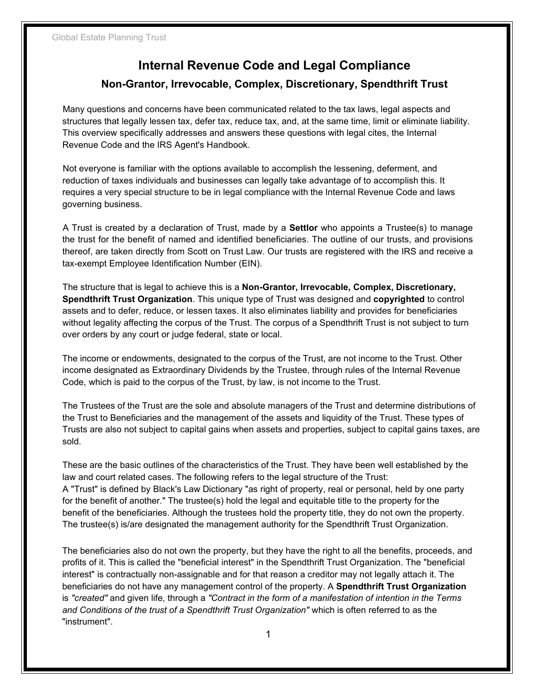# **Internal Revenue Code and Legal Compliance**

# **Non-Grantor, Irrevocable, Complex, Discretionary, Spendthrift Trust**

Many questions and concerns have been communicated related to the tax laws, legal aspects and structures that legally lessen tax, defer tax, reduce tax, and, at the same time, limit or eliminate liability. This overview specifically addresses and answers these questions with legal cites, the Internal Revenue Code and the IRS Agent's Handbook.

Not everyone is familiar with the options available to accomplish the lessening, deferment, and reduction of taxes individuals and businesses can legally take advantage of to accomplish this. It requires a very special structure to be in legal compliance with the Internal Revenue Code and laws governing business.

A Trust is created by a declaration of Trust, made by a **Settlor** who appoints a Trustee(s) to manage the trust for the benefit of named and identified beneficiaries. The outline of our trusts, and provisions thereof, are taken directly from Scott on Trust Law. Our trusts are registered with the IRS and receive a tax-exempt Employee Identification Number (EIN).

The structure that is legal to achieve this is a **Non-Grantor, Irrevocable, Complex, Discretionary, Spendthrift Trust Organization**. This unique type of Trust was designed and **copyrighted** to control assets and to defer, reduce, or lessen taxes. It also eliminates liability and provides for beneficiaries without legality affecting the corpus of the Trust. The corpus of a Spendthrift Trust is not subject to turn over orders by any court or judge federal, state or local.

The income or endowments, designated to the corpus of the Trust, are not income to the Trust. Other income designated as Extraordinary Dividends by the Trustee, through rules of the Internal Revenue Code, which is paid to the corpus of the Trust, by law, is not income to the Trust.

The Trustees of the Trust are the sole and absolute managers of the Trust and determine distributions of the Trust to Beneficiaries and the management of the assets and liquidity of the Trust. These types of Trusts are also not subject to capital gains when assets and properties, subject to capital gains taxes, are sold.

These are the basic outlines of the characteristics of the Trust. They have been well established by the law and court related cases. The following refers to the legal structure of the Trust: A "Trust" is defined by Black's Law Dictionary "as right of property, real or personal, held by one party for the benefit of another." The trustee(s) hold the legal and equitable title to the property for the benefit of the beneficiaries. Although the trustees hold the property title, they do not own the property. The trustee(s) is/are designated the management authority for the Spendthrift Trust Organization.

The beneficiaries also do not own the property, but they have the right to all the benefits, proceeds, and profits of it. This is called the "beneficial interest" in the Spendthrift Trust Organization. The "beneficial interest" is contractually non-assignable and for that reason a creditor may not legally attach it. The beneficiaries do not have any management control of the property. A **Spendthrift Trust Organization**  is *"created"* and given life, through a *"Contract in the form of a manifestation of intention in the Terms and Conditions of the trust of a Spendthrift Trust Organization"* which is often referred to as the "instrument".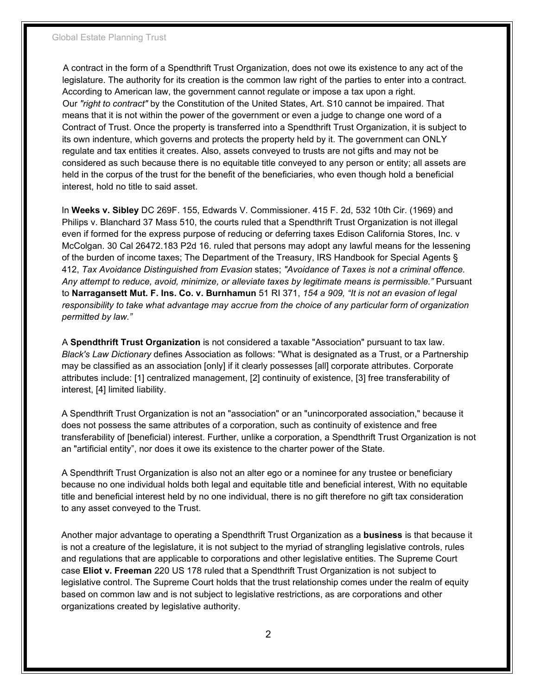A contract in the form of a Spendthrift Trust Organization, does not owe its existence to any act of the legislature. The authority for its creation is the common law right of the parties to enter into a contract. According to American law, the government cannot regulate or impose a tax upon a right. Our *"right to contract"* by the Constitution of the United States, Art. S10 cannot be impaired. That means that it is not within the power of the government or even a judge to change one word of a Contract of Trust. Once the property is transferred into a Spendthrift Trust Organization, it is subject to its own indenture, which governs and protects the property held by it. The government can ONLY regulate and tax entities it creates. Also, assets conveyed to trusts are not gifts and may not be considered as such because there is no equitable title conveyed to any person or entity; all assets are held in the corpus of the trust for the benefit of the beneficiaries, who even though hold a beneficial interest, hold no title to said asset.

In **Weeks v. Sibley** DC 269F. 155, Edwards V. Commissioner. 415 F. 2d, 532 10th Cir. (1969) and Philips v. Blanchard 37 Mass 510, the courts ruled that a Spendthrift Trust Organization is not illegal even if formed for the express purpose of reducing or deferring taxes Edison California Stores, Inc. v McColgan. 30 Cal 26472.183 P2d 16. ruled that persons may adopt any lawful means for the lessening of the burden of income taxes; The Department of the Treasury, IRS Handbook for Special Agents § 412, *Tax Avoidance Distinguished from Evasion* states; *"Avoidance of Taxes is not a criminal offence. Any attempt to reduce, avoid, minimize, or alleviate taxes by legitimate means is permissible."* Pursuant to **Narragansett Mut. F. Ins. Co. v. Burnhamun** 51 RI 371, *154 a 909, "It is not an evasion of legal responsibility to take what advantage may accrue from the choice of any particular form of organization permitted by law."*

A **Spendthrift Trust Organization** is not considered a taxable "Association" pursuant to tax law. *Black's Law Dictionary* defines Association as follows: "What is designated as a Trust, or a Partnership may be classified as an association [only] if it clearly possesses [all] corporate attributes. Corporate attributes include: [1] centralized management, [2] continuity of existence, [3] free transferability of interest, [4] limited liability.

A Spendthrift Trust Organization is not an "association" or an "unincorporated association," because it does not possess the same attributes of a corporation, such as continuity of existence and free transferability of [beneficial) interest. Further, unlike a corporation, a Spendthrift Trust Organization is not an "artificial entity", nor does it owe its existence to the charter power of the State.

A Spendthrift Trust Organization is also not an alter ego or a nominee for any trustee or beneficiary because no one individual holds both legal and equitable title and beneficial interest, With no equitable title and beneficial interest held by no one individual, there is no gift therefore no gift tax consideration to any asset conveyed to the Trust.

Another major advantage to operating a Spendthrift Trust Organization as a **business** is that because it is not a creature of the legislature, it is not subject to the myriad of strangling legislative controls, rules and regulations that are applicable to corporations and other legislative entities. The Supreme Court case **Eliot v. Freeman** 220 US 178 ruled that a Spendthrift Trust Organization is not subject to legislative control. The Supreme Court holds that the trust relationship comes under the realm of equity based on common law and is not subject to legislative restrictions, as are corporations and other organizations created by legislative authority.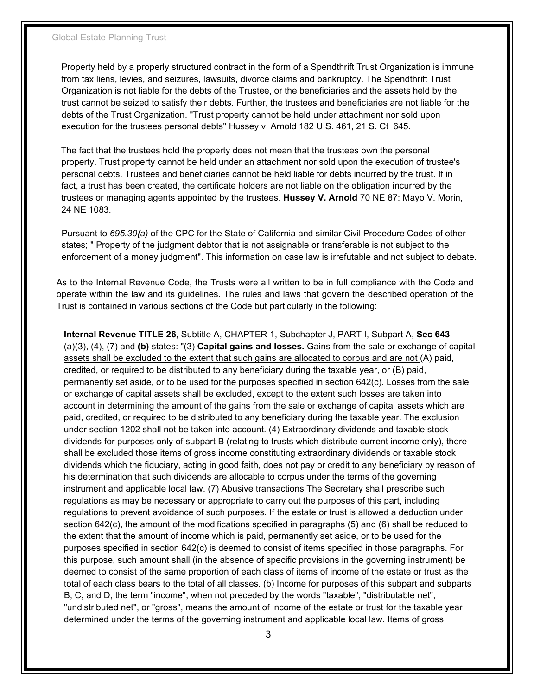#### Global Estate Planning Trust

Property held by a properly structured contract in the form of a Spendthrift Trust Organization is immune from tax liens, levies, and seizures, lawsuits, divorce claims and bankruptcy. The Spendthrift Trust Organization is not liable for the debts of the Trustee, or the beneficiaries and the assets held by the trust cannot be seized to satisfy their debts. Further, the trustees and beneficiaries are not liable for the debts of the Trust Organization. "Trust property cannot be held under attachment nor sold upon execution for the trustees personal debts" Hussey v. Arnold 182 U.S. 461, 21 S. Ct 645.

The fact that the trustees hold the property does not mean that the trustees own the personal property. Trust property cannot be held under an attachment nor sold upon the execution of trustee's personal debts. Trustees and beneficiaries cannot be held liable for debts incurred by the trust. If in fact, a trust has been created, the certificate holders are not liable on the obligation incurred by the trustees or managing agents appointed by the trustees. **Hussey V. Arnold** 70 NE 87: Mayo V. Morin, 24 NE 1083.

Pursuant to *695.30{a)* of the CPC for the State of California and similar Civil Procedure Codes of other states; " Property of the judgment debtor that is not assignable or transferable is not subject to the enforcement of a money judgment". This information on case law is irrefutable and not subject to debate.

As to the Internal Revenue Code, the Trusts were all written to be in full compliance with the Code and operate within the law and its guidelines. The rules and laws that govern the described operation of the Trust is contained in various sections of the Code but particularly in the following:

**Internal Revenue TITLE 26,** Subtitle A, CHAPTER 1, Subchapter J, PART I, Subpart A, **Sec 643** (a)(3), (4), (7) and **(b)** states: "(3) **Capital gains and losses.** Gains from the sale or exchange of capital assets shall be excluded to the extent that such gains are allocated to corpus and are not (A) paid, credited, or required to be distributed to any beneficiary during the taxable year, or (B) paid, permanently set aside, or to be used for the purposes specified in section 642(c). Losses from the sale or exchange of capital assets shall be excluded, except to the extent such losses are taken into account in determining the amount of the gains from the sale or exchange of capital assets which are paid, credited, or required to be distributed to any beneficiary during the taxable year. The exclusion under section 1202 shall not be taken into account. (4) Extraordinary dividends and taxable stock dividends for purposes only of subpart B (relating to trusts which distribute current income only), there shall be excluded those items of gross income constituting extraordinary dividends or taxable stock dividends which the fiduciary, acting in good faith, does not pay or credit to any beneficiary by reason of his determination that such dividends are allocable to corpus under the terms of the governing instrument and applicable local law. (7) Abusive transactions The Secretary shall prescribe such regulations as may be necessary or appropriate to carry out the purposes of this part, including regulations to prevent avoidance of such purposes. If the estate or trust is allowed a deduction under section 642(c), the amount of the modifications specified in paragraphs (5) and (6) shall be reduced to the extent that the amount of income which is paid, permanently set aside, or to be used for the purposes specified in section 642(c) is deemed to consist of items specified in those paragraphs. For this purpose, such amount shall (in the absence of specific provisions in the governing instrument) be deemed to consist of the same proportion of each class of items of income of the estate or trust as the total of each class bears to the total of all classes. (b) Income for purposes of this subpart and subparts B, C, and D, the term "income", when not preceded by the words "taxable", "distributable net", "undistributed net", or "gross", means the amount of income of the estate or trust for the taxable year determined under the terms of the governing instrument and applicable local law. Items of gross